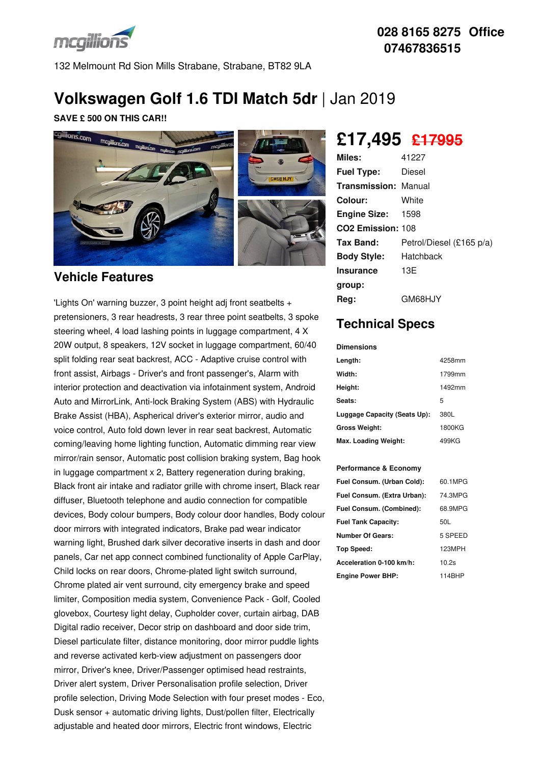

132 Melmount Rd Sion Mills Strabane, Strabane, BT82 9LA

# **Volkswagen Golf 1.6 TDI Match 5dr** |Jan 2019

**SAVE £ 500 ON THIS CAR!!**



### **Vehicle Features**

'Lights On' warning buzzer, 3 point height adj front seatbelts + pretensioners, 3 rear headrests, 3 rear three point seatbelts, 3 spoke steering wheel, 4 load lashing points in luggage compartment, 4 X 20W output, 8 speakers, 12V socket in luggage compartment, 60/40 split folding rear seat backrest, ACC - Adaptive cruise control with front assist, Airbags - Driver's and front passenger's, Alarm with interior protection and deactivation via infotainment system, Android Auto and MirrorLink, Anti-lock Braking System (ABS) with Hydraulic Brake Assist (HBA), Aspherical driver's exterior mirror, audio and voice control, Auto fold down lever in rear seat backrest, Automatic coming/leaving home lighting function, Automatic dimming rear view mirror/rain sensor, Automatic post collision braking system, Bag hook in luggage compartment x 2, Battery regeneration during braking, Black front air intake and radiator grille with chrome insert, Black rear diffuser, Bluetooth telephone and audio connection for compatible devices, Body colour bumpers, Body colour door handles, Body colour door mirrors with integrated indicators, Brake pad wear indicator warning light, Brushed dark silver decorative inserts in dash and door panels, Car net app connect combined functionality of Apple CarPlay, Child locks on rear doors, Chrome-plated light switch surround, Chrome plated air vent surround, city emergency brake and speed limiter, Composition media system, Convenience Pack - Golf, Cooled glovebox, Courtesy light delay, Cupholder cover, curtain airbag, DAB Digital radio receiver, Decor strip on dashboard and door side trim, Diesel particulate filter, distance monitoring, door mirror puddle lights and reverse activated kerb-view adjustment on passengers door mirror, Driver's knee, Driver/Passenger optimised head restraints, Driver alert system, Driver Personalisation profile selection, Driver profile selection, Driving Mode Selection with four preset modes - Eco, Dusk sensor + automatic driving lights, Dust/pollen filter, Electrically adjustable and heated door mirrors, Electric front windows, Electric

# **£17,495 £17995**

| Miles:                        | 41227                    |
|-------------------------------|--------------------------|
| <b>Fuel Type:</b>             | Diesel                   |
| <b>Transmission: Manual</b>   |                          |
| Colour:                       | White                    |
| <b>Engine Size: 1598</b>      |                          |
| CO <sub>2</sub> Emission: 108 |                          |
| Tax Band:                     | Petrol/Diesel (£165 p/a) |
| <b>Body Style:</b>            | Hatchback                |
| <b>Insurance</b>              | 13E                      |
| group:                        |                          |
| Reg:                          | GM68H.JY                 |

# **Technical Specs**

| <b>Dimensions</b>            |        |
|------------------------------|--------|
| Length:                      | 4258mm |
| Width:                       | 1799mm |
| Height:                      | 1492mm |
| Seats:                       | 5      |
| Luggage Capacity (Seats Up): | 380L   |
| <b>Gross Weight:</b>         | 1800KG |
| Max. Loading Weight:         | 499KG  |

#### **Performance & Economy**

| Fuel Consum. (Urban Cold):  | 60.1MPG |
|-----------------------------|---------|
| Fuel Consum. (Extra Urban): | 74.3MPG |
| Fuel Consum. (Combined):    | 68.9MPG |
| <b>Fuel Tank Capacity:</b>  | 50L     |
| <b>Number Of Gears:</b>     | 5 SPEED |
| Top Speed:                  | 123MPH  |
| Acceleration 0-100 km/h:    | 10.2s   |
| <b>Engine Power BHP:</b>    | 114BHP  |

## **028 8165 8275 Office 07467836515**